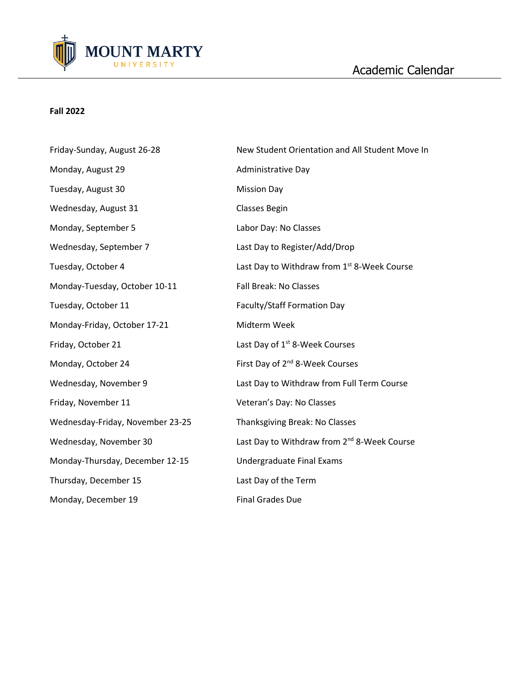

## **Fall 2022**

| Friday-Sunday, August 26-28      | New Student Orientation and All Student Move In         |
|----------------------------------|---------------------------------------------------------|
| Monday, August 29                | Administrative Day                                      |
| Tuesday, August 30               | <b>Mission Day</b>                                      |
| Wednesday, August 31             | <b>Classes Begin</b>                                    |
| Monday, September 5              | Labor Day: No Classes                                   |
| Wednesday, September 7           | Last Day to Register/Add/Drop                           |
| Tuesday, October 4               | Last Day to Withdraw from 1st 8-Week Course             |
| Monday-Tuesday, October 10-11    | <b>Fall Break: No Classes</b>                           |
| Tuesday, October 11              | Faculty/Staff Formation Day                             |
| Monday-Friday, October 17-21     | Midterm Week                                            |
| Friday, October 21               | Last Day of 1 <sup>st</sup> 8-Week Courses              |
| Monday, October 24               | First Day of 2 <sup>nd</sup> 8-Week Courses             |
| Wednesday, November 9            | Last Day to Withdraw from Full Term Course              |
| Friday, November 11              | Veteran's Day: No Classes                               |
| Wednesday-Friday, November 23-25 | Thanksgiving Break: No Classes                          |
| Wednesday, November 30           | Last Day to Withdraw from 2 <sup>nd</sup> 8-Week Course |
| Monday-Thursday, December 12-15  | Undergraduate Final Exams                               |
| Thursday, December 15            | Last Day of the Term                                    |
| Monday, December 19              | <b>Final Grades Due</b>                                 |